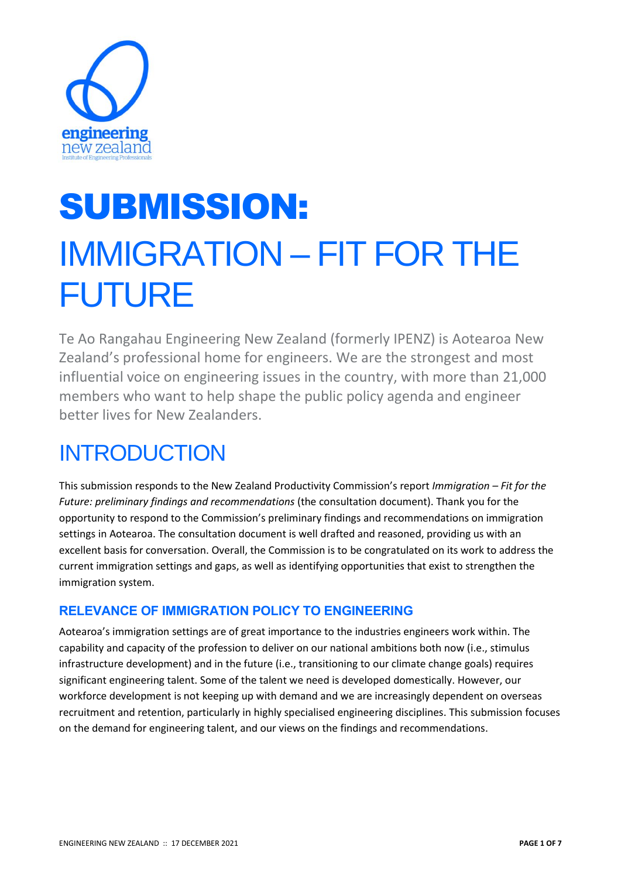

# SUBMISSION: IMMIGRATION – FIT FOR THE FUTURE

Te Ao Rangahau Engineering New Zealand (formerly IPENZ) is Aotearoa New Zealand's professional home for engineers. We are the strongest and most influential voice on engineering issues in the country, with more than 21,000 members who want to help shape the public policy agenda and engineer better lives for New Zealanders.

## **INTRODUCTION**

This submission responds to the New Zealand Productivity Commission's report *Immigration – Fit for the Future: preliminary findings and recommendations* (the consultation document). Thank you for the opportunity to respond to the Commission's preliminary findings and recommendations on immigration settings in Aotearoa. The consultation document is well drafted and reasoned, providing us with an excellent basis for conversation. Overall, the Commission is to be congratulated on its work to address the current immigration settings and gaps, as well as identifying opportunities that exist to strengthen the immigration system.

### **RELEVANCE OF IMMIGRATION POLICY TO ENGINEERING**

Aotearoa's immigration settings are of great importance to the industries engineers work within. The capability and capacity of the profession to deliver on our national ambitions both now (i.e., stimulus infrastructure development) and in the future (i.e., transitioning to our climate change goals) requires significant engineering talent. Some of the talent we need is developed domestically. However, our workforce development is not keeping up with demand and we are increasingly dependent on overseas recruitment and retention, particularly in highly specialised engineering disciplines. This submission focuses on the demand for engineering talent, and our views on the findings and recommendations.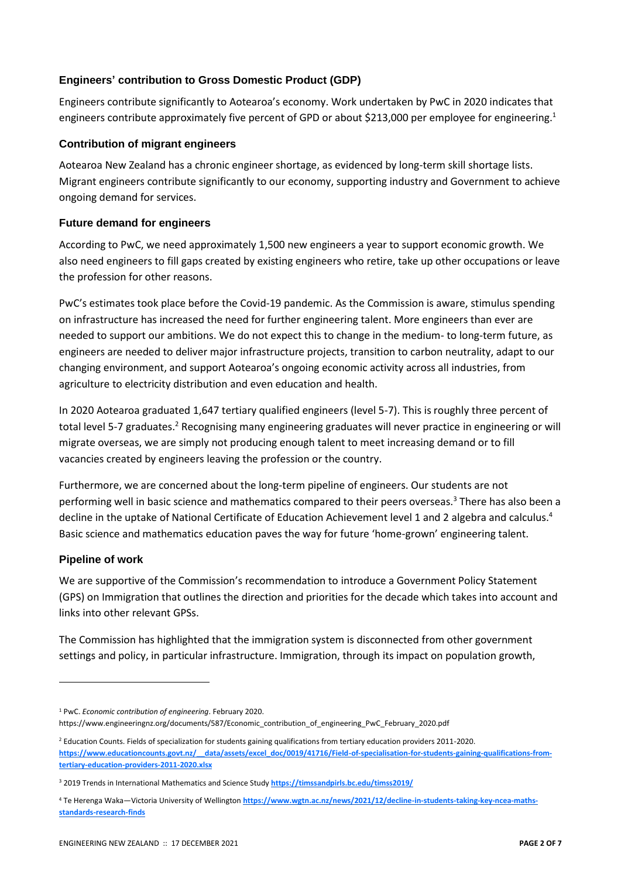#### **Engineers' contribution to Gross Domestic Product (GDP)**

Engineers contribute significantly to Aotearoa's economy. Work undertaken by PwC in 2020 indicates that engineers contribute approximately five percent of GPD or about \$213,000 per employee for engineering.<sup>1</sup>

#### **Contribution of migrant engineers**

Aotearoa New Zealand has a chronic engineer shortage, as evidenced by long-term skill shortage lists. Migrant engineers contribute significantly to our economy, supporting industry and Government to achieve ongoing demand for services.

#### **Future demand for engineers**

According to PwC, we need approximately 1,500 new engineers a year to support economic growth. We also need engineers to fill gaps created by existing engineers who retire, take up other occupations or leave the profession for other reasons.

PwC's estimates took place before the Covid-19 pandemic. As the Commission is aware, stimulus spending on infrastructure has increased the need for further engineering talent. More engineers than ever are needed to support our ambitions. We do not expect this to change in the medium- to long-term future, as engineers are needed to deliver major infrastructure projects, transition to carbon neutrality, adapt to our changing environment, and support Aotearoa's ongoing economic activity across all industries, from agriculture to electricity distribution and even education and health.

In 2020 Aotearoa graduated 1,647 tertiary qualified engineers (level 5-7). This is roughly three percent of total level 5-7 graduates.<sup>2</sup> Recognising many engineering graduates will never practice in engineering or will migrate overseas, we are simply not producing enough talent to meet increasing demand or to fill vacancies created by engineers leaving the profession or the country.

Furthermore, we are concerned about the long-term pipeline of engineers. Our students are not performing well in basic science and mathematics compared to their peers overseas.<sup>3</sup> There has also been a decline in the uptake of National Certificate of Education Achievement level 1 and 2 algebra and calculus.<sup>4</sup> Basic science and mathematics education paves the way for future 'home-grown' engineering talent.

#### **Pipeline of work**

We are supportive of the Commission's recommendation to introduce a Government Policy Statement (GPS) on Immigration that outlines the direction and priorities for the decade which takes into account and links into other relevant GPSs.

The Commission has highlighted that the immigration system is disconnected from other government settings and policy, in particular infrastructure. Immigration, through its impact on population growth,

<sup>1</sup> PwC. *Economic contribution of engineering*. February 2020. https://www.engineeringnz.org/documents/587/Economic\_contribution\_of\_engineering\_PwC\_February\_2020.pdf

<sup>&</sup>lt;sup>2</sup> Education Counts. Fields of specialization for students gaining qualifications from tertiary education providers 2011-2020. **[https://www.educationcounts.govt.nz/\\_\\_data/assets/excel\\_doc/0019/41716/Field-of-specialisation-for-students-gaining-qualifications-from](https://www.educationcounts.govt.nz/__data/assets/excel_doc/0019/41716/Field-of-specialisation-for-students-gaining-qualifications-from-tertiary-education-providers-2011-2020.xlsx)[tertiary-education-providers-2011-2020.xlsx](https://www.educationcounts.govt.nz/__data/assets/excel_doc/0019/41716/Field-of-specialisation-for-students-gaining-qualifications-from-tertiary-education-providers-2011-2020.xlsx)**

<sup>3</sup> 2019 Trends in International Mathematics and Science Study **<https://timssandpirls.bc.edu/timss2019/>**

<sup>4</sup> Te Herenga Waka—Victoria University of Wellington **[https://www.wgtn.ac.nz/news/2021/12/decline-in-students-taking-key-ncea-maths](https://www.wgtn.ac.nz/news/2021/12/decline-in-students-taking-key-ncea-maths-standards-research-finds)[standards-research-finds](https://www.wgtn.ac.nz/news/2021/12/decline-in-students-taking-key-ncea-maths-standards-research-finds)**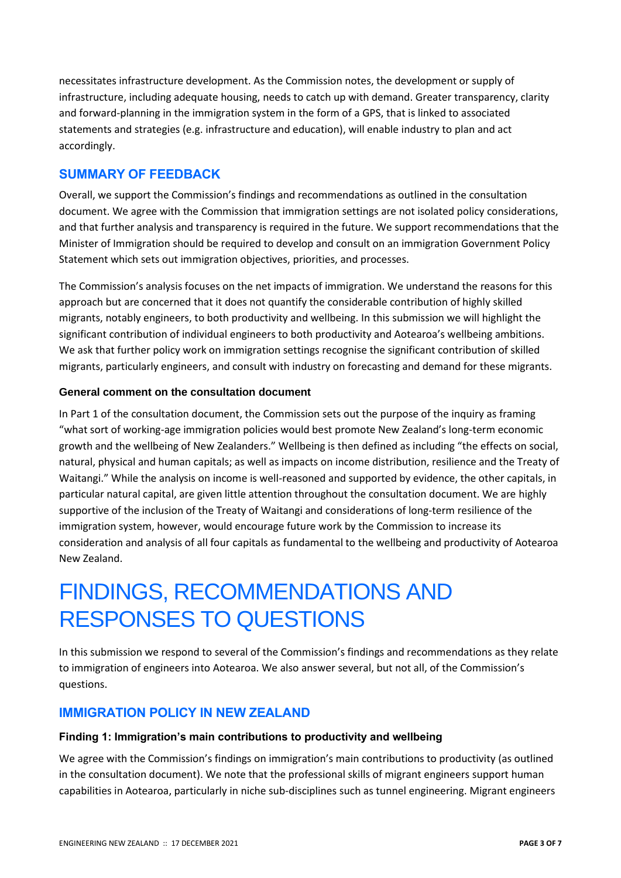necessitates infrastructure development. As the Commission notes, the development or supply of infrastructure, including adequate housing, needs to catch up with demand. Greater transparency, clarity and forward-planning in the immigration system in the form of a GPS, that is linked to associated statements and strategies (e.g. infrastructure and education), will enable industry to plan and act accordingly.

#### **SUMMARY OF FEEDBACK**

Overall, we support the Commission's findings and recommendations as outlined in the consultation document. We agree with the Commission that immigration settings are not isolated policy considerations, and that further analysis and transparency is required in the future. We support recommendations that the Minister of Immigration should be required to develop and consult on an immigration Government Policy Statement which sets out immigration objectives, priorities, and processes.

The Commission's analysis focuses on the net impacts of immigration. We understand the reasons for this approach but are concerned that it does not quantify the considerable contribution of highly skilled migrants, notably engineers, to both productivity and wellbeing. In this submission we will highlight the significant contribution of individual engineers to both productivity and Aotearoa's wellbeing ambitions. We ask that further policy work on immigration settings recognise the significant contribution of skilled migrants, particularly engineers, and consult with industry on forecasting and demand for these migrants.

#### **General comment on the consultation document**

In Part 1 of the consultation document, the Commission sets out the purpose of the inquiry as framing "what sort of working-age immigration policies would best promote New Zealand's long-term economic growth and the wellbeing of New Zealanders." Wellbeing is then defined as including "the effects on social, natural, physical and human capitals; as well as impacts on income distribution, resilience and the Treaty of Waitangi." While the analysis on income is well-reasoned and supported by evidence, the other capitals, in particular natural capital, are given little attention throughout the consultation document. We are highly supportive of the inclusion of the Treaty of Waitangi and considerations of long-term resilience of the immigration system, however, would encourage future work by the Commission to increase its consideration and analysis of all four capitals as fundamental to the wellbeing and productivity of Aotearoa New Zealand.

### FINDINGS, RECOMMENDATIONS AND RESPONSES TO QUESTIONS

In this submission we respond to several of the Commission's findings and recommendations as they relate to immigration of engineers into Aotearoa. We also answer several, but not all, of the Commission's questions.

#### **IMMIGRATION POLICY IN NEW ZEALAND**

#### **Finding 1: Immigration's main contributions to productivity and wellbeing**

We agree with the Commission's findings on immigration's main contributions to productivity (as outlined in the consultation document). We note that the professional skills of migrant engineers support human capabilities in Aotearoa, particularly in niche sub-disciplines such as tunnel engineering. Migrant engineers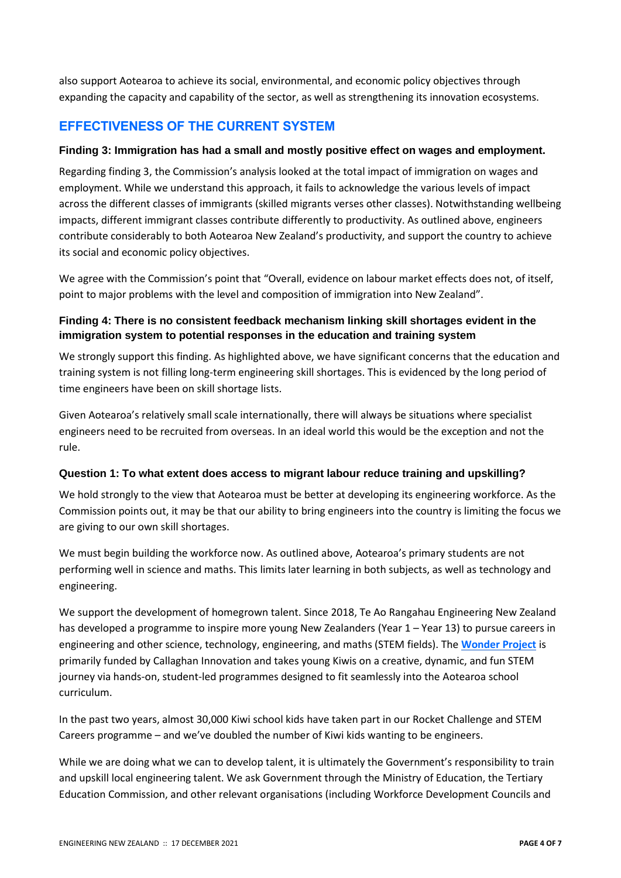also support Aotearoa to achieve its social, environmental, and economic policy objectives through expanding the capacity and capability of the sector, as well as strengthening its innovation ecosystems.

#### **EFFECTIVENESS OF THE CURRENT SYSTEM**

#### **Finding 3: Immigration has had a small and mostly positive effect on wages and employment.**

Regarding finding 3, the Commission's analysis looked at the total impact of immigration on wages and employment. While we understand this approach, it fails to acknowledge the various levels of impact across the different classes of immigrants (skilled migrants verses other classes). Notwithstanding wellbeing impacts, different immigrant classes contribute differently to productivity. As outlined above, engineers contribute considerably to both Aotearoa New Zealand's productivity, and support the country to achieve its social and economic policy objectives.

We agree with the Commission's point that "Overall, evidence on labour market effects does not, of itself, point to major problems with the level and composition of immigration into New Zealand".

#### **Finding 4: There is no consistent feedback mechanism linking skill shortages evident in the immigration system to potential responses in the education and training system**

We strongly support this finding. As highlighted above, we have significant concerns that the education and training system is not filling long-term engineering skill shortages. This is evidenced by the long period of time engineers have been on skill shortage lists.

Given Aotearoa's relatively small scale internationally, there will always be situations where specialist engineers need to be recruited from overseas. In an ideal world this would be the exception and not the rule.

#### **Question 1: To what extent does access to migrant labour reduce training and upskilling?**

We hold strongly to the view that Aotearoa must be better at developing its engineering workforce. As the Commission points out, it may be that our ability to bring engineers into the country is limiting the focus we are giving to our own skill shortages.

We must begin building the workforce now. As outlined above, Aotearoa's primary students are not performing well in science and maths. This limits later learning in both subjects, as well as technology and engineering.

We support the development of homegrown talent. Since 2018, Te Ao Rangahau Engineering New Zealand has developed a programme to inspire more young New Zealanders (Year 1 – Year 13) to pursue careers in engineering and other science, technology, engineering, and maths (STEM fields). The **[Wonder Project](https://wonderproject.nz/)** is primarily funded by Callaghan Innovation and takes young Kiwis on a creative, dynamic, and fun STEM journey via hands-on, student-led programmes designed to fit seamlessly into the Aotearoa school curriculum.

In the past two years, almost 30,000 Kiwi school kids have taken part in our Rocket Challenge and STEM Careers programme – and we've doubled the number of Kiwi kids wanting to be engineers.

While we are doing what we can to develop talent, it is ultimately the Government's responsibility to train and upskill local engineering talent. We ask Government through the Ministry of Education, the Tertiary Education Commission, and other relevant organisations (including Workforce Development Councils and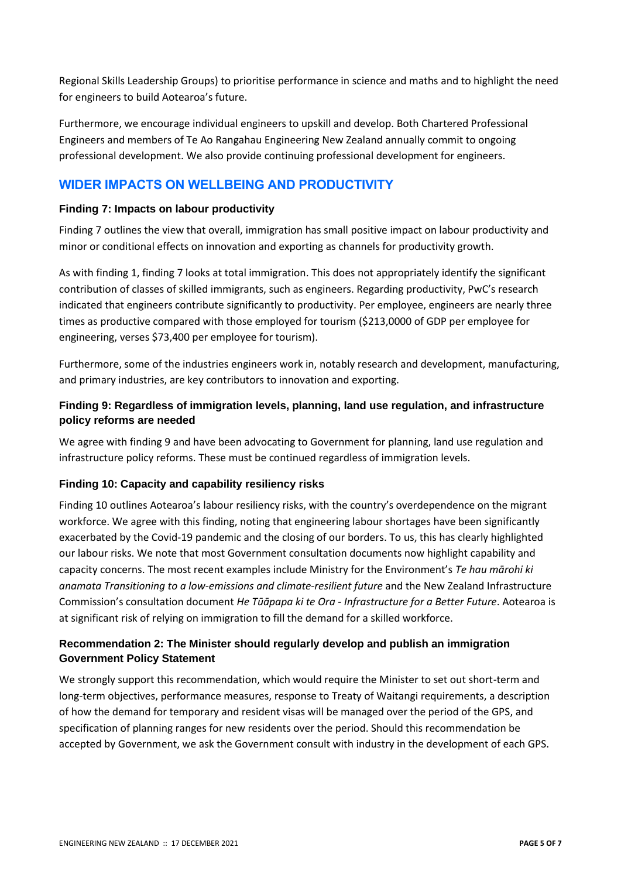Regional Skills Leadership Groups) to prioritise performance in science and maths and to highlight the need for engineers to build Aotearoa's future.

Furthermore, we encourage individual engineers to upskill and develop. Both Chartered Professional Engineers and members of Te Ao Rangahau Engineering New Zealand annually commit to ongoing professional development. We also provide continuing professional development for engineers.

#### **WIDER IMPACTS ON WELLBEING AND PRODUCTIVITY**

#### **Finding 7: Impacts on labour productivity**

Finding 7 outlines the view that overall, immigration has small positive impact on labour productivity and minor or conditional effects on innovation and exporting as channels for productivity growth.

As with finding 1, finding 7 looks at total immigration. This does not appropriately identify the significant contribution of classes of skilled immigrants, such as engineers. Regarding productivity, PwC's research indicated that engineers contribute significantly to productivity. Per employee, engineers are nearly three times as productive compared with those employed for tourism (\$213,0000 of GDP per employee for engineering, verses \$73,400 per employee for tourism).

Furthermore, some of the industries engineers work in, notably research and development, manufacturing, and primary industries, are key contributors to innovation and exporting.

#### **Finding 9: Regardless of immigration levels, planning, land use regulation, and infrastructure policy reforms are needed**

We agree with finding 9 and have been advocating to Government for planning, land use regulation and infrastructure policy reforms. These must be continued regardless of immigration levels.

#### **Finding 10: Capacity and capability resiliency risks**

Finding 10 outlines Aotearoa's labour resiliency risks, with the country's overdependence on the migrant workforce. We agree with this finding, noting that engineering labour shortages have been significantly exacerbated by the Covid-19 pandemic and the closing of our borders. To us, this has clearly highlighted our labour risks. We note that most Government consultation documents now highlight capability and capacity concerns. The most recent examples include Ministry for the Environment's *Te hau mārohi ki anamata Transitioning to a low-emissions and climate-resilient future* and the New Zealand Infrastructure Commission's consultation document *He Tūāpapa ki te Ora - Infrastructure for a Better Future*. Aotearoa is at significant risk of relying on immigration to fill the demand for a skilled workforce.

#### **Recommendation 2: The Minister should regularly develop and publish an immigration Government Policy Statement**

We strongly support this recommendation, which would require the Minister to set out short-term and long-term objectives, performance measures, response to Treaty of Waitangi requirements, a description of how the demand for temporary and resident visas will be managed over the period of the GPS, and specification of planning ranges for new residents over the period. Should this recommendation be accepted by Government, we ask the Government consult with industry in the development of each GPS.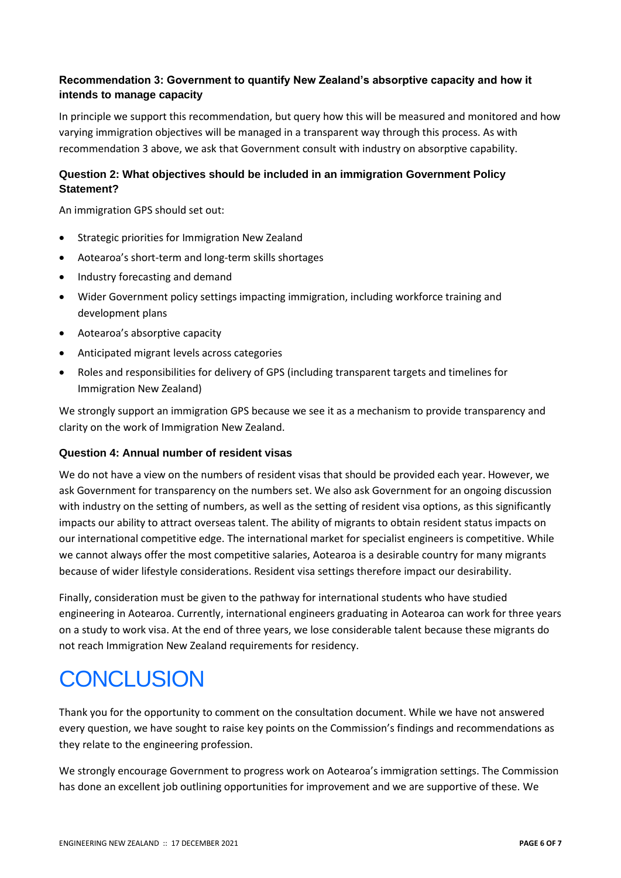#### **Recommendation 3: Government to quantify New Zealand's absorptive capacity and how it intends to manage capacity**

In principle we support this recommendation, but query how this will be measured and monitored and how varying immigration objectives will be managed in a transparent way through this process. As with recommendation 3 above, we ask that Government consult with industry on absorptive capability.

#### **Question 2: What objectives should be included in an immigration Government Policy Statement?**

An immigration GPS should set out:

- Strategic priorities for Immigration New Zealand
- Aotearoa's short-term and long-term skills shortages
- Industry forecasting and demand
- Wider Government policy settings impacting immigration, including workforce training and development plans
- Aotearoa's absorptive capacity
- Anticipated migrant levels across categories
- Roles and responsibilities for delivery of GPS (including transparent targets and timelines for Immigration New Zealand)

We strongly support an immigration GPS because we see it as a mechanism to provide transparency and clarity on the work of Immigration New Zealand.

#### **Question 4: Annual number of resident visas**

We do not have a view on the numbers of resident visas that should be provided each year. However, we ask Government for transparency on the numbers set. We also ask Government for an ongoing discussion with industry on the setting of numbers, as well as the setting of resident visa options, as this significantly impacts our ability to attract overseas talent. The ability of migrants to obtain resident status impacts on our international competitive edge. The international market for specialist engineers is competitive. While we cannot always offer the most competitive salaries, Aotearoa is a desirable country for many migrants because of wider lifestyle considerations. Resident visa settings therefore impact our desirability.

Finally, consideration must be given to the pathway for international students who have studied engineering in Aotearoa. Currently, international engineers graduating in Aotearoa can work for three years on a study to work visa. At the end of three years, we lose considerable talent because these migrants do not reach Immigration New Zealand requirements for residency.

### **CONCLUSION**

Thank you for the opportunity to comment on the consultation document. While we have not answered every question, we have sought to raise key points on the Commission's findings and recommendations as they relate to the engineering profession.

We strongly encourage Government to progress work on Aotearoa's immigration settings. The Commission has done an excellent job outlining opportunities for improvement and we are supportive of these. We